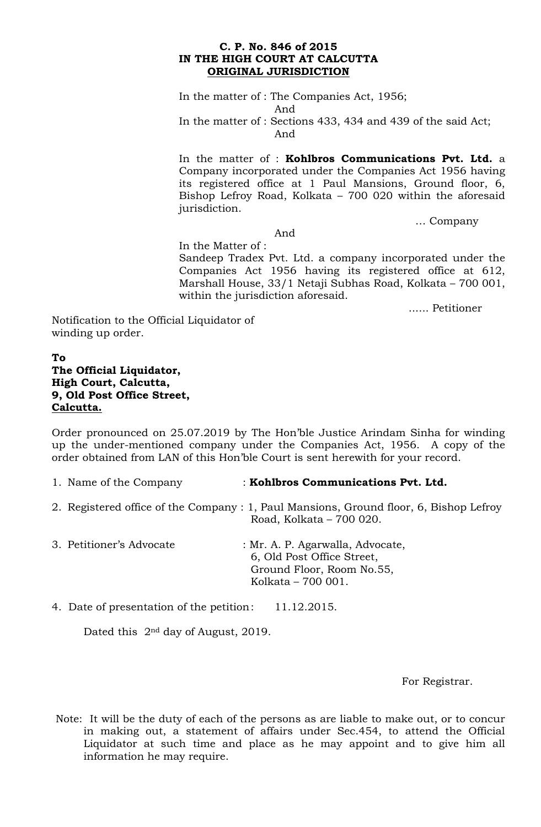## **C. P. No. 846 of 2015 IN THE HIGH COURT AT CALCUTTA ORIGINAL JURISDICTION**

In the matter of : The Companies Act, 1956; And In the matter of : Sections 433, 434 and 439 of the said Act; And

In the matter of : **Kohlbros Communications Pvt. Ltd.** a Company incorporated under the Companies Act 1956 having its registered office at 1 Paul Mansions, Ground floor, 6, Bishop Lefroy Road, Kolkata – 700 020 within the aforesaid jurisdiction.

… Company

And

In the Matter of :

Sandeep Tradex Pvt. Ltd. a company incorporated under the Companies Act 1956 having its registered office at 612, Marshall House, 33/1 Netaji Subhas Road, Kolkata – 700 001, within the jurisdiction aforesaid.

...... Petitioner

Notification to the Official Liquidator of winding up order.

## **To The Official Liquidator, High Court, Calcutta, 9, Old Post Office Street, Calcutta.**

Order pronounced on 25.07.2019 by The Hon'ble Justice Arindam Sinha for winding up the under-mentioned company under the Companies Act, 1956. A copy of the order obtained from LAN of this Hon'ble Court is sent herewith for your record.

- 1. Name of the Company : **Kohlbros Communications Pvt. Ltd.**
- 2. Registered office of the Company : 1, Paul Mansions, Ground floor, 6, Bishop Lefroy Road, Kolkata – 700 020.
- 3. Petitioner's Advocate : Mr. A. P. Agarwalla, Advocate, 6, Old Post Office Street, Ground Floor, Room No.55, Kolkata – 700 001.

4. Date of presentation of the petition: 11.12.2015.

Dated this 2nd day of August, 2019.

For Registrar.

Note: It will be the duty of each of the persons as are liable to make out, or to concur in making out, a statement of affairs under Sec.454, to attend the Official Liquidator at such time and place as he may appoint and to give him all information he may require.